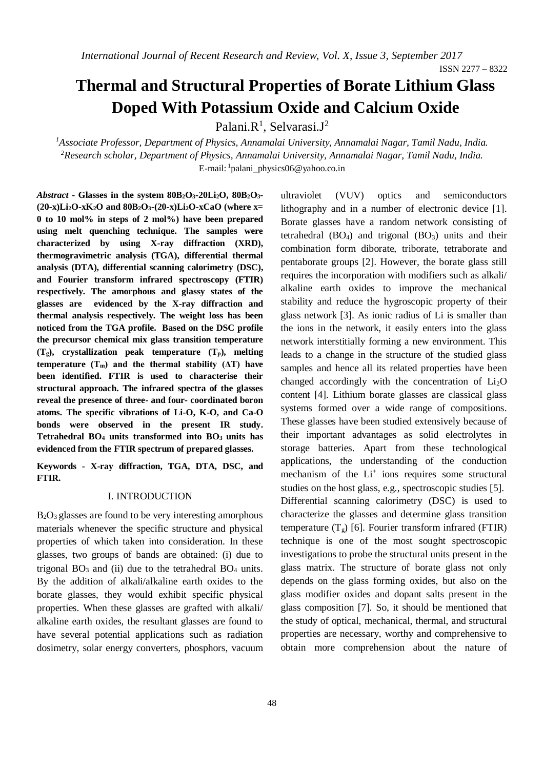ISSN 2277 – 8322

# **Thermal and Structural Properties of Borate Lithium Glass Doped With Potassium Oxide and Calcium Oxide**

Palani.R<sup>1</sup>, Selvarasi.J<sup>2</sup>

*<sup>1</sup>Associate Professor, Department of Physics, Annamalai University, Annamalai Nagar, Tamil Nadu, India. <sup>2</sup>Research scholar, Department of Physics, Annamalai University, Annamalai Nagar, Tamil Nadu, India.* E-mail: <sup>1</sup>palani\_physics06@yahoo.co.in

*Abstract* **- Glasses in the system 80B2O3-20Li2O, 80B2O3- (20-x)Li2O-xK2O and 80B2O3-(20-x)Li2O-xCaO (where x= 0 to 10 mol% in steps of 2 mol%) have been prepared using melt quenching technique. The samples were characterized by using X-ray diffraction (XRD), thermogravimetric analysis (TGA), differential thermal analysis (DTA), differential scanning calorimetry (DSC), and Fourier transform infrared spectroscopy (FTIR) respectively. The amorphous and glassy states of the glasses are evidenced by the X-ray diffraction and thermal analysis respectively. The weight loss has been noticed from the TGA profile. Based on the DSC profile the precursor chemical mix glass transition temperature (Tg), crystallization peak temperature (Tp), melting temperature (Tm) and the thermal stability (ΔT) have been identified. FTIR is used to characterise their structural approach. The infrared spectra of the glasses reveal the presence of three- and four- coordinated boron atoms. The specific vibrations of Li-O, K-O, and Ca-O bonds were observed in the present IR study. Tetrahedral BO<sup>4</sup> units transformed into BO3 units has evidenced from the FTIR spectrum of prepared glasses.**

**Keywords - X-ray diffraction, TGA, DTA, DSC, and FTIR.** 

#### I. INTRODUCTION

 $B_2O_3$  glasses are found to be very interesting amorphous materials whenever the specific structure and physical properties of which taken into consideration. In these glasses, two groups of bands are obtained: (i) due to trigonal  $BO_3$  and (ii) due to the tetrahedral  $BO_4$  units. By the addition of alkali/alkaline earth oxides to the borate glasses, they would exhibit specific physical properties. When these glasses are grafted with alkali/ alkaline earth oxides, the resultant glasses are found to have several potential applications such as radiation dosimetry, solar energy converters, phosphors, vacuum ultraviolet (VUV) optics and semiconductors lithography and in a number of electronic device [1]. Borate glasses have a random network consisting of tetrahedral  $(BO<sub>4</sub>)$  and trigonal  $(BO<sub>3</sub>)$  units and their combination form diborate, triborate, tetraborate and pentaborate groups [2]. However, the borate glass still requires the incorporation with modifiers such as alkali/ alkaline earth oxides to improve the mechanical stability and reduce the hygroscopic property of their glass network [3]. As ionic radius of Li is smaller than the ions in the network, it easily enters into the glass network interstitially forming a new environment. This leads to a change in the structure of the studied glass samples and hence all its related properties have been changed accordingly with the concentration of  $Li<sub>2</sub>O$ content [4]. Lithium borate glasses are classical glass systems formed over a wide range of compositions. These glasses have been studied extensively because of their important advantages as solid electrolytes in storage batteries. Apart from these technological applications, the understanding of the conduction mechanism of the Li<sup>+</sup> ions requires some structural studies on the host glass, e.g., spectroscopic studies [5]. Differential scanning calorimetry (DSC) is used to characterize the glasses and determine glass transition temperature  $(T_g)$  [6]. Fourier transform infrared (FTIR) technique is one of the most sought spectroscopic investigations to probe the structural units present in the glass matrix. The structure of borate glass not only depends on the glass forming oxides, but also on the glass modifier oxides and dopant salts present in the glass composition [7]. So, it should be mentioned that the study of optical, mechanical, thermal, and structural properties are necessary, worthy and comprehensive to obtain more comprehension about the nature of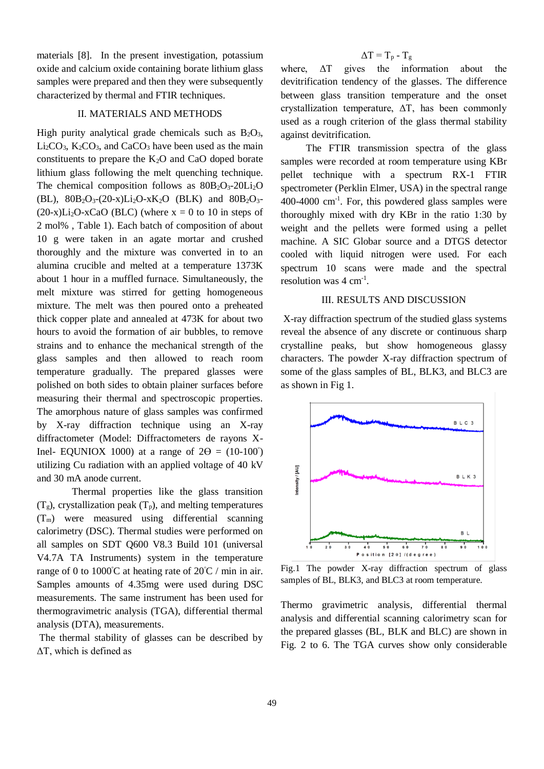materials [8]. In the present investigation, potassium oxide and calcium oxide containing borate lithium glass samples were prepared and then they were subsequently characterized by thermal and FTIR techniques.

#### II. MATERIALS AND METHODS

High purity analytical grade chemicals such as  $B_2O_3$ ,  $Li<sub>2</sub>CO<sub>3</sub>$ ,  $K<sub>2</sub>CO<sub>3</sub>$ , and CaCO<sub>3</sub> have been used as the main constituents to prepare the  $K_2O$  and CaO doped borate lithium glass following the melt quenching technique. The chemical composition follows as  $80B_2O_3-20Li_2O$ (BL),  $80B_2O_3-(20-x)Li_2O-xK_2O$  (BLK) and  $80B_2O_3 (20-x)Li<sub>2</sub>O-xCaO$  (BLC) (where  $x = 0$  to 10 in steps of 2 mol% , Table 1). Each batch of composition of about 10 g were taken in an agate mortar and crushed thoroughly and the mixture was converted in to an alumina crucible and melted at a temperature 1373K about 1 hour in a muffled furnace. Simultaneously, the melt mixture was stirred for getting homogeneous mixture. The melt was then poured onto a preheated thick copper plate and annealed at 473K for about two hours to avoid the formation of air bubbles, to remove strains and to enhance the mechanical strength of the glass samples and then allowed to reach room temperature gradually. The prepared glasses were polished on both sides to obtain plainer surfaces before measuring their thermal and spectroscopic properties. The amorphous nature of glass samples was confirmed by X-ray diffraction technique using an X-ray diffractometer (Model: Diffractometers de rayons X-Inel- EQUNIOX 1000) at a range of  $2\Theta = (10-100^{\circ})$ utilizing Cu radiation with an applied voltage of 40 kV and 30 mA anode current.

 Thermal properties like the glass transition  $(T<sub>g</sub>)$ , crystallization peak  $(T<sub>p</sub>)$ , and melting temperatures  $(T_m)$  were measured using differential scanning calorimetry (DSC). Thermal studies were performed on all samples on SDT Q600 V8.3 Build 101 (universal V4.7A TA Instruments) system in the temperature range of 0 to 1000°C at heating rate of  $20^{\circ}$ C / min in air. Samples amounts of 4.35mg were used during DSC measurements. The same instrument has been used for thermogravimetric analysis (TGA), differential thermal analysis (DTA), measurements.

The thermal stability of glasses can be described by ΔT, which is defined as

### $\Delta T = T_p - T_g$

where, ΔT gives the information about the devitrification tendency of the glasses. The difference between glass transition temperature and the onset crystallization temperature, ΔT, has been commonly used as a rough criterion of the glass thermal stability against devitrification.

The FTIR transmission spectra of the glass samples were recorded at room temperature using KBr pellet technique with a spectrum RX-1 FTIR spectrometer (Perklin Elmer, USA) in the spectral range 400-4000 cm-1 . For, this powdered glass samples were thoroughly mixed with dry KBr in the ratio 1:30 by weight and the pellets were formed using a pellet machine. A SIC Globar source and a DTGS detector cooled with liquid nitrogen were used. For each spectrum 10 scans were made and the spectral resolution was  $4 \text{ cm}^{-1}$ .

#### III. RESULTS AND DISCUSSION

X-ray diffraction spectrum of the studied glass systems reveal the absence of any discrete or continuous sharp crystalline peaks, but show homogeneous glassy characters. The powder X-ray diffraction spectrum of some of the glass samples of BL, BLK3, and BLC3 are as shown in Fig 1.



Fig.1 The powder X-ray diffraction spectrum of glass samples of BL, BLK3, and BLC3 at room temperature.

Thermo gravimetric analysis, differential thermal analysis and differential scanning calorimetry scan for the prepared glasses (BL, BLK and BLC) are shown in Fig. 2 to 6. The TGA curves show only considerable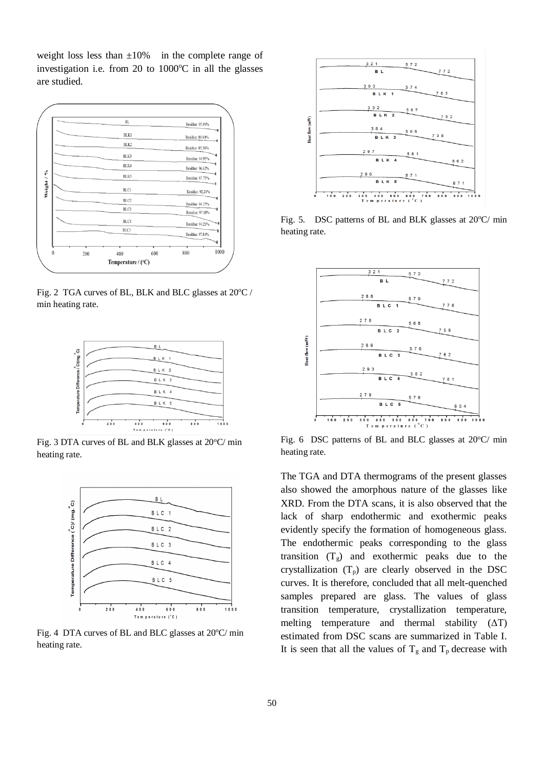weight loss less than  $\pm 10\%$  in the complete range of investigation i.e. from 20 to  $1000^{\circ}$ C in all the glasses are studied.



Fig. 2 TGA curves of BL, BLK and BLC glasses at  $20^{\circ}$ C / min heating rate.



Fig. 3 DTA curves of BL and BLK glasses at 20°C/ min heating rate.



Fig. 4 DTA curves of BL and BLC glasses at  $20^{\circ}$ C/ min heating rate.



Fig. 5. DSC patterns of BL and BLK glasses at  $20^{\circ}$ C/ min heating rate.



Fig. 6 DSC patterns of BL and BLC glasses at  $20^{\circ}$ C/ min heating rate.

The TGA and DTA thermograms of the present glasses also showed the amorphous nature of the glasses like XRD. From the DTA scans, it is also observed that the lack of sharp endothermic and exothermic peaks evidently specify the formation of homogeneous glass. The endothermic peaks corresponding to the glass transition  $(T_g)$  and exothermic peaks due to the crystallization  $(T_p)$  are clearly observed in the DSC curves. It is therefore, concluded that all melt-quenched samples prepared are glass. The values of glass transition temperature, crystallization temperature, melting temperature and thermal stability  $(ΔT)$ estimated from DSC scans are summarized in Table I. It is seen that all the values of  $T_g$  and  $T_p$  decrease with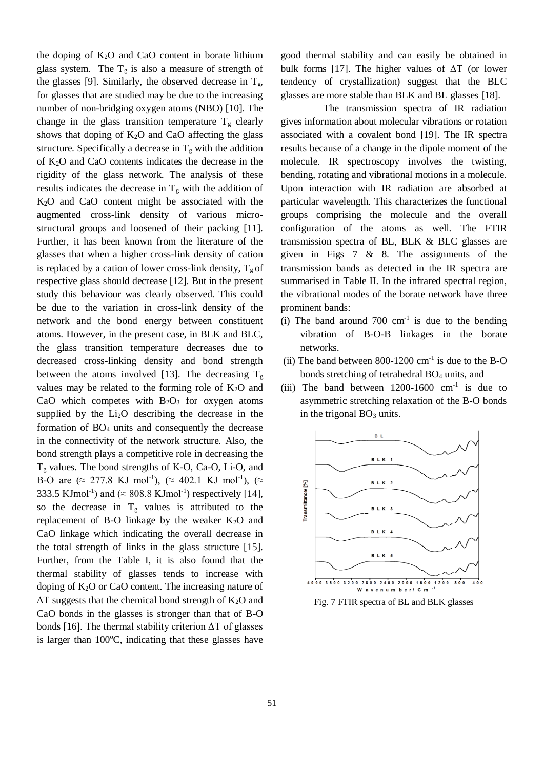the doping of  $K_2O$  and  $CaO$  content in borate lithium glass system. The  $T_g$  is also a measure of strength of the glasses [9]. Similarly, the observed decrease in  $T_g$ , for glasses that are studied may be due to the increasing number of non-bridging oxygen atoms (NBO) [10]. The change in the glass transition temperature  $T<sub>g</sub>$  clearly shows that doping of  $K_2O$  and CaO affecting the glass structure. Specifically a decrease in  $T<sub>g</sub>$  with the addition of K2O and CaO contents indicates the decrease in the rigidity of the glass network. The analysis of these results indicates the decrease in  $T_g$  with the addition of K2O and CaO content might be associated with the augmented cross-link density of various microstructural groups and loosened of their packing [11]. Further, it has been known from the literature of the glasses that when a higher cross-link density of cation is replaced by a cation of lower cross-link density,  $T_{g}$  of respective glass should decrease [12]. But in the present study this behaviour was clearly observed. This could be due to the variation in cross-link density of the network and the bond energy between constituent atoms. However, in the present case, in BLK and BLC, the glass transition temperature decreases due to decreased cross-linking density and bond strength between the atoms involved [13]. The decreasing  $T_g$ values may be related to the forming role of  $K_2O$  and CaO which competes with  $B_2O_3$  for oxygen atoms supplied by the Li2O describing the decrease in the formation of BO<sup>4</sup> units and consequently the decrease in the connectivity of the network structure. Also, the bond strength plays a competitive role in decreasing the  $T<sub>g</sub>$  values. The bond strengths of K-O, Ca-O, Li-O, and B-O are ( $\approx$  277.8 KJ mol<sup>-1</sup>), ( $\approx$  402.1 KJ mol<sup>-1</sup>), ( $\approx$ 333.5 KJmol<sup>-1</sup>) and ( $\approx$  808.8 KJmol<sup>-1</sup>) respectively [14], so the decrease in  $T_g$  values is attributed to the replacement of B-O linkage by the weaker  $K_2O$  and CaO linkage which indicating the overall decrease in the total strength of links in the glass structure [15]. Further, from the Table I, it is also found that the thermal stability of glasses tends to increase with doping of  $K_2O$  or CaO content. The increasing nature of  $\Delta T$  suggests that the chemical bond strength of K<sub>2</sub>O and CaO bonds in the glasses is stronger than that of B-O bonds [16]. The thermal stability criterion  $\Delta T$  of glasses is larger than  $100^{\circ}$ C, indicating that these glasses have

good thermal stability and can easily be obtained in bulk forms [17]. The higher values of  $\Delta T$  (or lower tendency of crystallization) suggest that the BLC glasses are more stable than BLK and BL glasses [18].

 The transmission spectra of IR radiation gives information about molecular vibrations or rotation associated with a covalent bond [19]. The IR spectra results because of a change in the dipole moment of the molecule. IR spectroscopy involves the twisting, bending, rotating and vibrational motions in a molecule. Upon interaction with IR radiation are absorbed at particular wavelength. This characterizes the functional groups comprising the molecule and the overall configuration of the atoms as well. The FTIR transmission spectra of BL, BLK & BLC glasses are given in Figs 7 & 8. The assignments of the transmission bands as detected in the IR spectra are summarised in Table II. In the infrared spectral region, the vibrational modes of the borate network have three prominent bands:

- (i) The band around  $700 \text{ cm}^{-1}$  is due to the bending vibration of B-O-B linkages in the borate networks.
- (ii) The band between  $800-1200$  cm<sup>-1</sup> is due to the B-O bonds stretching of tetrahedral BO<sub>4</sub> units, and
- (iii) The band between  $1200-1600$  cm<sup>-1</sup> is due to asymmetric stretching relaxation of the B-O bonds in the trigonal  $BO<sub>3</sub>$  units.



Fig. 7 FTIR spectra of BL and BLK glasses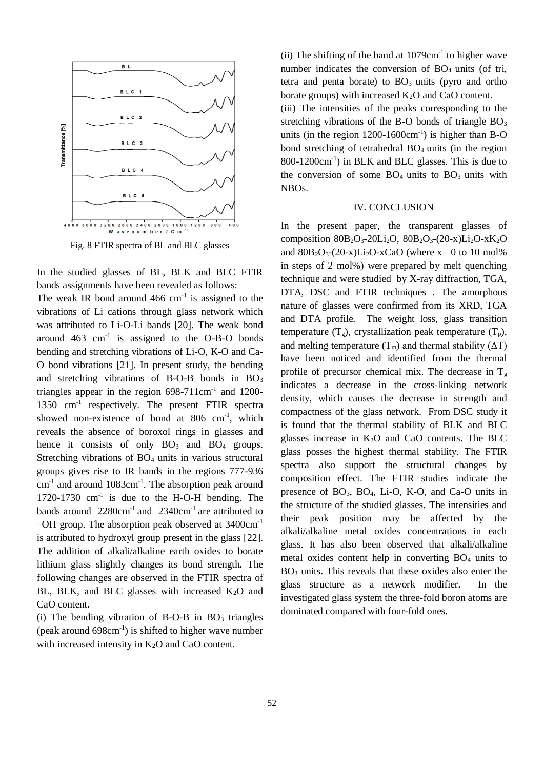

Fig. 8 FTIR spectra of BL and BLC glasses

In the studied glasses of BL, BLK and BLC FTIR bands assignments have been revealed as follows: The weak IR bond around  $466 \text{ cm}^{-1}$  is assigned to the vibrations of Li cations through glass network which was attributed to Li-O-Li bands [20]. The weak bond around  $463 \text{ cm}^{-1}$  is assigned to the O-B-O bonds bending and stretching vibrations of Li-O, K-O and Ca-O bond vibrations [21]. In present study, the bending and stretching vibrations of B-O-B bonds in  $BO<sub>3</sub>$ triangles appear in the region  $698-711$ cm<sup>-1</sup> and  $1200$ -1350 cm<sup>-1</sup> respectively. The present FTIR spectra showed non-existence of bond at 806 cm<sup>-1</sup>, which reveals the absence of boroxol rings in glasses and hence it consists of only  $BO_3$  and  $BO_4$  groups. Stretching vibrations of BO<sub>4</sub> units in various structural groups gives rise to IR bands in the regions 777-936 cm<sup>-1</sup> and around 1083cm<sup>-1</sup>. The absorption peak around  $1720-1730$  cm<sup>-1</sup> is due to the H-O-H bending. The bands around  $2280 \text{cm}^{-1}$  and  $2340 \text{cm}^{-1}$  are attributed to –OH group. The absorption peak observed at 3400cm-1 is attributed to hydroxyl group present in the glass [22]. The addition of alkali/alkaline earth oxides to borate lithium glass slightly changes its bond strength. The following changes are observed in the FTIR spectra of BL, BLK, and BLC glasses with increased  $K_2O$  and CaO content.

(i) The bending vibration of B-O-B in  $BO<sub>3</sub>$  triangles  $(\text{peak around } 698 \text{cm}^{-1})$  is shifted to higher wave number with increased intensity in  $K_2O$  and CaO content.

 $(ii)$  The shifting of the band at  $1079 \text{cm}^{-1}$  to higher wave number indicates the conversion of  $BO<sub>4</sub>$  units (of tri, tetra and penta borate) to  $BO<sub>3</sub>$  units (pyro and ortho borate groups) with increased  $K_2O$  and  $CaO$  content. (iii) The intensities of the peaks corresponding to the stretching vibrations of the B-O bonds of triangle  $BO<sub>3</sub>$ units (in the region  $1200-1600 \text{cm}^{-1}$ ) is higher than B-O bond stretching of tetrahedral  $BO<sub>4</sub>$  units (in the region 800-1200cm-1 ) in BLK and BLC glasses. This is due to the conversion of some  $BO_4$  units to  $BO_3$  units with NBOs.

#### IV. CONCLUSION

In the present paper, the transparent glasses of composition  $80B_2O_3 - 20Li_2O$ ,  $80B_2O_3 - (20-x)Li_2O - xK_2O$ and  $80B_2O_3-(20-x)Li_2O-xCaO$  (where  $x=0$  to 10 mol%) in steps of 2 mol%) were prepared by melt quenching technique and were studied by X-ray diffraction, TGA, DTA, DSC and FTIR techniques . The amorphous nature of glasses were confirmed from its XRD, TGA and DTA profile. The weight loss, glass transition temperature  $(T_g)$ , crystallization peak temperature  $(T_p)$ , and melting temperature  $(T_m)$  and thermal stability  $( \Delta T)$ have been noticed and identified from the thermal profile of precursor chemical mix. The decrease in  $T_g$ indicates a decrease in the cross-linking network density, which causes the decrease in strength and compactness of the glass network. From DSC study it is found that the thermal stability of BLK and BLC glasses increase in K2O and CaO contents. The BLC glass posses the highest thermal stability. The FTIR spectra also support the structural changes by composition effect. The FTIR studies indicate the presence of  $BO_3$ ,  $BO_4$ , Li-O, K-O, and Ca-O units in the structure of the studied glasses. The intensities and their peak position may be affected by the alkali/alkaline metal oxides concentrations in each glass. It has also been observed that alkali/alkaline metal oxides content help in converting  $BO<sub>4</sub>$  units to  $BO<sub>3</sub>$  units. This reveals that these oxides also enter the glass structure as a network modifier. In the investigated glass system the three-fold boron atoms are dominated compared with four-fold ones.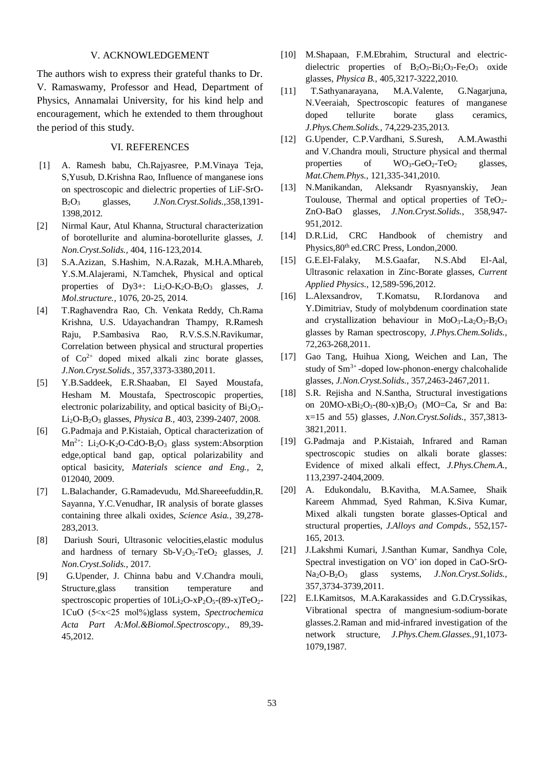#### V. ACKNOWLEDGEMENT

The authors wish to express their grateful thanks to Dr. V. Ramaswamy, Professor and Head, Department of Physics, Annamalai University, for his kind help and encouragement, which he extended to them throughout the period of this study.

#### VI. REFERENCES

- [1] A. Ramesh babu, Ch.Rajyasree, P.M.Vinaya Teja, S,Yusub, D.Krishna Rao, Influence of manganese ions on spectroscopic and dielectric properties of LiF-SrO-B2O<sup>3</sup> glasses, *J.Non.Cryst.Solids.,*358,1391- 1398,2012.
- [2] Nirmal Kaur, Atul Khanna, Structural characterization of borotellurite and alumina-borotellurite glasses, *J. Non.Cryst.Solids.,* 404, 116-123,2014.
- [3] S.A.Azizan, S.Hashim, N.A.Razak, M.H.A.Mhareb, Y.S.M.Alajerami, N.Tamchek, Physical and optical properties of  $Dv3+$ :  $Li_2O-K_2O-B_2O_3$  glasses, *J. Mol.structure.,* 1076, 20-25, 2014.
- [4] T.Raghavendra Rao, Ch. Venkata Reddy, Ch.Rama Krishna, U.S. Udayachandran Thampy, R.Ramesh Raju, P.Sambasiva Rao, R.V.S.S.N.Ravikumar, Correlation between physical and structural properties of  $Co^{2+}$  doped mixed alkali zinc borate glasses, *J.Non.Cryst.Solids.,* 357,3373-3380,2011.
- [5] Y.B.Saddeek, E.R.Shaaban, El Sayed Moustafa, Hesham M. Moustafa, Spectroscopic properties, electronic polarizability, and optical basicity of  $Bi<sub>2</sub>O<sub>3</sub>$ Li2O-B2O<sup>3</sup> glasses, *Physica B.,* 403, 2399-2407, 2008.
- [6] G.Padmaja and P.Kistaiah, Optical characterization of  $Mn^{2+}$ : Li<sub>2</sub>O-K<sub>2</sub>O-CdO-B<sub>2</sub>O<sub>3</sub> glass system:Absorption edge,optical band gap, optical polarizability and optical basicity, *Materials science and Eng.,* 2, 012040, 2009.
- [7] L.Balachander, G.Ramadevudu, Md.Shareeefuddin,R. Sayanna, Y.C.Venudhar, IR analysis of borate glasses containing three alkali oxides, *Science Asia.,* 39,278- 283,2013.
- [8] Dariush Souri, Ultrasonic velocities,elastic modulus and hardness of ternary Sb-V<sub>2</sub>O<sub>5</sub>-TeO<sub>2</sub> glasses, *J. Non.Cryst.Solids.,* 2017.
- [9] G.Upender, J. Chinna babu and V.Chandra mouli, Structure,glass transition temperature and spectroscopic properties of  $10Li<sub>2</sub>O<sub>-X</sub>P<sub>2</sub>O<sub>5</sub>-(89-x)TeO<sub>2</sub>$ -1CuO (5˂x˂25 mol%)glass system, *Spectrochemica Acta Part A:Mol.&Biomol.Spectroscopy.,* 89,39- 45,2012.
- [10] M.Shapaan, F.M.Ebrahim, Structural and electricdielectric properties of  $B_2O_3-B_12O_3-F_2O_3$  oxide glasses, *Physica B.,* 405,3217-3222,2010.
- [11] T.Sathyanarayana, M.A.Valente, G.Nagarjuna, N.Veeraiah, Spectroscopic features of manganese doped tellurite borate glass ceramics, *J.Phys.Chem.Solids.,* 74,229-235,2013.
- [12] G.Upender, C.P.Vardhani, S.Suresh, A.M.Awasthi and V.Chandra mouli, Structure physical and thermal properties of  $WO_3-GeO_2-TeO_2$  glasses, *Mat.Chem.Phys.,* 121,335-341,2010.
- [13] N.Manikandan, Aleksandr Ryasnyanskiy, Jean Toulouse, Thermal and optical properties of  $TeO<sub>2</sub>$ -ZnO-BaO glasses, *J.Non.Cryst.Solids.,* 358,947- 951,2012.
- [14] D.R.Lid, CRC Handbook of chemistry and Physics,  $80<sup>th</sup>$  ed.CRC Press, London, 2000.
- [15] G.E.El-Falaky, M.S.Gaafar, N.S.Abd El-Aal, Ultrasonic relaxation in Zinc-Borate glasses, *Current Applied Physics.,* 12,589-596,2012.
- [16] L.Alexsandrov, T.Komatsu, R.Iordanova and Y.Dimitriav, Study of molybdenum coordination state and crystallization behaviour in  $MoO<sub>3</sub>-La<sub>2</sub>O<sub>3</sub>-B<sub>2</sub>O<sub>3</sub>$ glasses by Raman spectroscopy, *J.Phys.Chem.Solids.,* 72,263-268,2011.
- [17] Gao Tang, Huihua Xiong, Weichen and Lan, The study of Sm<sup>3+</sup>-doped low-phonon-energy chalcohalide glasses, *J.Non.Cryst.Solids.,* 357,2463-2467,2011.
- [18] S.R. Rejisha and N.Santha, Structural investigations on  $20MO-xBi_2O_3-(80-x)B_2O_3$  (MO=Ca, Sr and Ba: x=15 and 55) glasses, *J.Non.Cryst.Solids.,* 357,3813- 3821,2011.
- [19] G.Padmaja and P.Kistaiah, Infrared and Raman spectroscopic studies on alkali borate glasses: Evidence of mixed alkali effect, *J.Phys.Chem.A.,* 113,2397-2404,2009.
- [20] A. Edukondalu, B.Kavitha, M.A.Samee, Shaik Kareem Ahmmad, Syed Rahman, K.Siva Kumar, Mixed alkali tungsten borate glasses-Optical and structural properties, *J.Alloys and Compds.,* 552,157- 165, 2013.
- [21] J.Lakshmi Kumari, J.Santhan Kumar, Sandhya Cole, Spectral investigation on VO+ ion doped in CaO-SrO-Na2O-B2O<sup>3</sup> glass systems, *J.Non.Cryst.Solids.,* 357,3734-3739,2011.
- [22] E.I.Kamitsos, M.A.Karakassides and G.D.Cryssikas, Vibrational spectra of mangnesium-sodium-borate glasses.2.Raman and mid-infrared investigation of the network structure, *J.Phys.Chem.Glasses.,*91,1073- 1079,1987.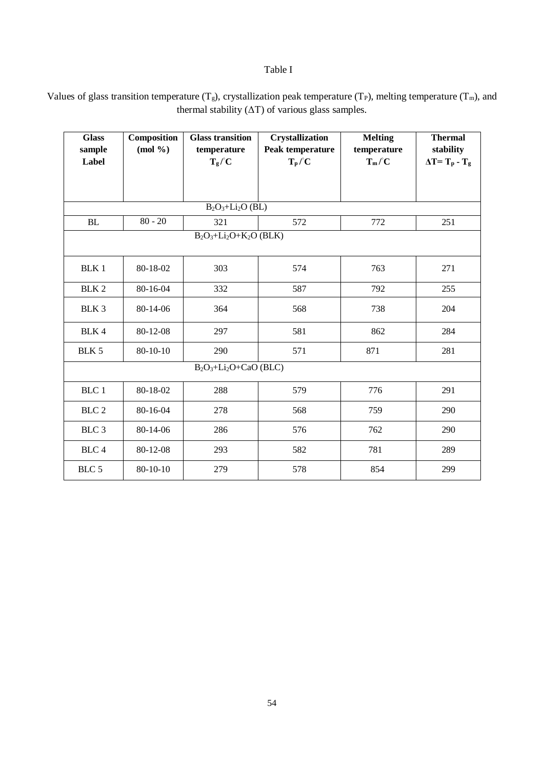## Table I

Values of glass transition temperature  $(T_g)$ , crystallization peak temperature  $(T_P)$ , melting temperature  $(T_m)$ , and thermal stability  $(\Delta T)$  of various glass samples.

| <b>Glass</b><br>sample<br>Label | Composition<br>$(mod \frac{9}{6})$ | <b>Glass transition</b><br>temperature<br>$T_g/C$ | <b>Crystallization</b><br>Peak temperature<br>$T_p / C$ | <b>Melting</b><br>temperature<br>$T_m/C$ | <b>Thermal</b><br>stability<br>$\Delta T = T_p - T_g$ |  |  |
|---------------------------------|------------------------------------|---------------------------------------------------|---------------------------------------------------------|------------------------------------------|-------------------------------------------------------|--|--|
|                                 |                                    |                                                   |                                                         |                                          |                                                       |  |  |
| $B_2O_3+Li_2O$ (BL)             |                                    |                                                   |                                                         |                                          |                                                       |  |  |
| BL                              | $80 - 20$                          | 321                                               | 572                                                     | 772                                      | 251                                                   |  |  |
| $B_2O_3+Li_2O+K_2O$ (BLK)       |                                    |                                                   |                                                         |                                          |                                                       |  |  |
| <b>BLK1</b>                     | 80-18-02                           | 303                                               | 574                                                     | 763                                      | 271                                                   |  |  |
| BLK <sub>2</sub>                | 80-16-04                           | 332                                               | 587                                                     | 792                                      | 255                                                   |  |  |
| BLK 3                           | 80-14-06                           | 364                                               | 568                                                     | 738                                      | 204                                                   |  |  |
| BLK 4                           | 80-12-08                           | 297                                               | 581                                                     | 862                                      | 284                                                   |  |  |
| BLK 5                           | $80 - 10 - 10$                     | 290                                               | 571                                                     | 871                                      | 281                                                   |  |  |
| $B_2O_3+Li_2O+CaO(BLC)$         |                                    |                                                   |                                                         |                                          |                                                       |  |  |
| BLC 1                           | 80-18-02                           | 288                                               | 579                                                     | 776                                      | 291                                                   |  |  |
| BLC <sub>2</sub>                | 80-16-04                           | 278                                               | 568                                                     | 759                                      | 290                                                   |  |  |
| BLC <sub>3</sub>                | 80-14-06                           | 286                                               | 576                                                     | 762                                      | 290                                                   |  |  |
| BLC 4                           | 80-12-08                           | 293                                               | 582                                                     | 781                                      | 289                                                   |  |  |
| BLC 5                           | $80 - 10 - 10$                     | 279                                               | 578                                                     | 854                                      | 299                                                   |  |  |